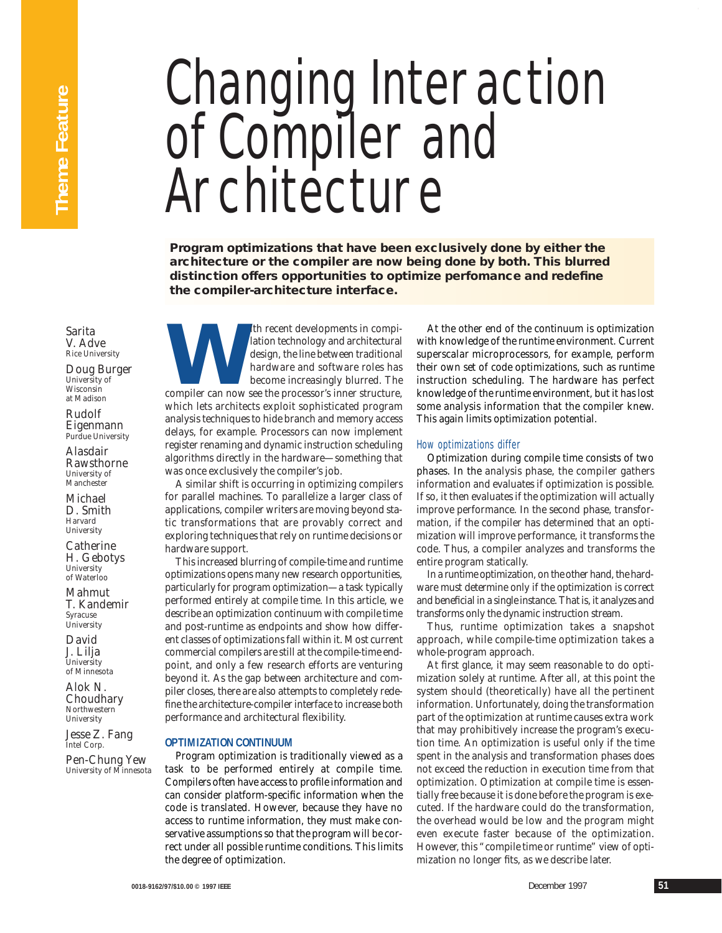# Changing Interaction of Compiler and **Architecture**

**Program optimizations that have been exclusively done by either the architecture or the compiler are now being done by both. This blurred distinction offers opportunities to optimize perfomance and redefine the compiler-architecture interface.**

*Sarita V. Adve* Rice University

*Doug Burger* University of Wisconsin at Madison

*Rudolf Eigenmann* Purdue University

*Alasdair Rawsthorne* University of Manchester

*Michael D. Smith* Harvard University

*Catherine H. Gebotys* University of Waterloo **UNIVERTY Starts Sarita**<br>
V. Adve<br>
Rice University of<br>
University of<br>
University of<br>
University of<br>
Wisconsin<br>
at Madison<br>
Rudolf<br>
Eigenmann<br>
Purdue University<br>
Alasdair<br>
Rawsthorne<br>
University of<br>
Manchester<br>
Michael D. S

*Mahmut T. Kandemir* Syracuse University

*David J. Lilja* **University** of Minnesota

*Alok N. Choudhary* Northwestern University

*Jesse Z. Fang* Intel Corp.

*Pen-Chung Yew*

**With recent developments in compilation technology and architectural design, the line between traditional hardware and software roles has become increasingly blurred. The compiler can now see the processor's inner structu** lation technology and architectural design, the line between traditional hardware and software roles has become increasingly blurred. The which lets architects exploit sophisticated program analysis techniques to hide branch and memory access delays, for example. Processors can now implement register renaming and dynamic instruction scheduling algorithms directly in the hardware—something that was once exclusively the compiler's job.

A similar shift is occurring in optimizing compilers for parallel machines. To parallelize a larger class of applications, compiler writers are moving beyond static transformations that are provably correct and exploring techniques that rely on runtime decisions or hardware support.

This increased blurring of compile-time and runtime optimizations opens many new research opportunities, particularly for program optimization—a task typically performed entirely at compile time. In this article, we describe an optimization continuum with compile time and post-runtime as endpoints and show how different classes of optimizations fall within it. Most current commercial compilers are still at the compile-time endpoint, and only a few research efforts are venturing beyond it. As the gap between architecture and compiler closes, there are also attempts to completely redefine the architecture-compiler interface to increase both performance and architectural flexibility.

## **OPTIMIZATION CONTINUUM**

Program optimization is traditionally viewed as a task to be performed entirely at compile time. Compilers often have access to profile information and can consider platform-specific information when the code is translated. However, because they have no access to runtime information, they must make conservative assumptions so that the program will be correct under all possible runtime conditions. This limits the degree of optimization.

At the other end of the continuum is optimization with knowledge of the runtime environment. Current superscalar microprocessors, for example, perform their own set of code optimizations, such as runtime instruction scheduling. The hardware has perfect knowledge of the runtime environment, but it has lost some analysis information that the compiler knew. This again limits optimization potential.

## How optimizations differ

Optimization during compile time consists of two phases. In the *analysis* phase, the compiler gathers information and evaluates if optimization is possible. If so, it then evaluates if the optimization will actually improve performance. In the second phase, *transformation*, if the compiler has determined that an optimization will improve performance, it transforms the code. Thus, a compiler analyzes and transforms the entire program statically.

In a runtime optimization, on the other hand, the hardware must determine only if the optimization is correct and beneficial in a single instance. That is, it analyzes and transforms only the dynamic instruction stream.

Thus, runtime optimization takes a snapshot approach, while compile-time optimization takes a whole-program approach.

At first glance, it may seem reasonable to do optimization solely at runtime. After all, at this point the system should (theoretically) have all the pertinent information. Unfortunately, doing the transformation part of the optimization at runtime causes extra work that may prohibitively increase the program's execution time. An optimization is useful only if the time spent in the analysis and transformation phases does not exceed the reduction in execution time from that optimization. Optimization at compile time is essentially free because it is done before the program is executed. If the hardware could do the transformation, the overhead would be low and the program might even execute faster because of the optimization. However, this "compile time or runtime" view of optimization no longer fits, as we describe later.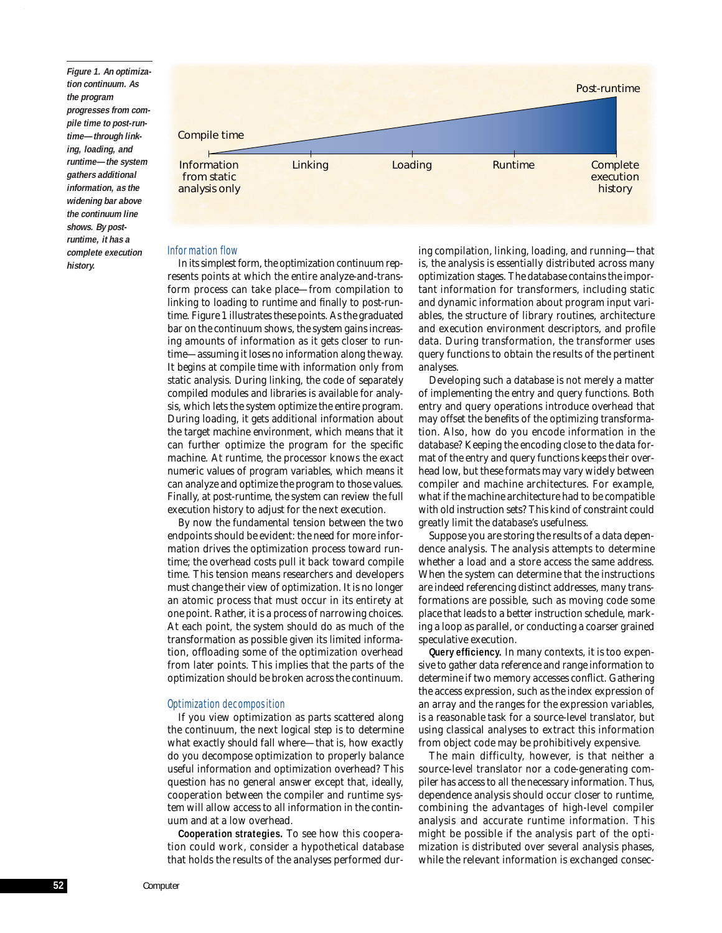**Figure 1. An optimization continuum. As the program progresses from compile time to post-runtime—through linking, loading, and runtime—the system gathers additional information, as the widening bar above the continuum line shows. By postruntime, it has a complete execution history.**



#### Information flow

In its simplest form, the optimization continuum represents points at which the entire analyze-and-transform process can take place—from compilation to linking to loading to runtime and finally to post-runtime. Figure 1 illustrates these points. As the graduated bar on the continuum shows, the system gains increasing amounts of information as it gets closer to runtime—assuming it loses no information along the way. It begins at *compile time* with information only from static analysis. During *linking*, the code of separately compiled modules and libraries is available for analysis, which lets the system optimize the entire program. During *loading*, it gets additional information about the target machine environment, which means that it can further optimize the program for the specific machine. At *runtime*, the processor knows the exact numeric values of program variables, which means it can analyze and optimize the program to those values. Finally, at *post-runtime*, the system can review the full execution history to adjust for the next execution.

By now the fundamental tension between the two endpoints should be evident: the need for more information drives the optimization process toward runtime; the overhead costs pull it back toward compile time. This tension means researchers and developers must change their view of optimization. It is no longer an atomic process that must occur in its entirety at one point. Rather, it is a process of narrowing choices. At each point, the system should do as much of the transformation as possible given its limited information, offloading some of the optimization overhead from later points. This implies that the parts of the optimization should be broken across the continuum.

#### Optimization decomposition

If you view optimization as parts scattered along the continuum, the next logical step is to determine what exactly should fall where—that is, how exactly do you decompose optimization to properly balance useful information and optimization overhead? This question has no general answer except that, ideally, cooperation between the compiler and runtime system will allow access to all information in the continuum and at a low overhead.

**Cooperation strategies.** To see how this cooperation could work, consider a hypothetical database that holds the results of the analyses performed during compilation, linking, loading, and running—that is, the analysis is essentially distributed across many optimization stages. The database contains the important information for transformers, including static and dynamic information about program input variables, the structure of library routines, architecture and execution environment descriptors, and profile data. During transformation, the transformer uses query functions to obtain the results of the pertinent analyses.

Developing such a database is not merely a matter of implementing the entry and query functions. Both entry and query operations introduce overhead that may offset the benefits of the optimizing transformation. Also, how do you encode information in the database? Keeping the encoding close to the data format of the entry and query functions keeps their overhead low, but these formats may vary widely between compiler and machine architectures. For example, what if the machine architecture had to be compatible with old instruction sets? This kind of constraint could greatly limit the database's usefulness.

Suppose you are storing the results of a data dependence analysis. The analysis attempts to determine whether a load and a store access the same address. When the system can determine that the instructions are indeed referencing distinct addresses, many transformations are possible, such as moving code some place that leads to a better instruction schedule, marking a loop as parallel, or conducting a coarser grained speculative execution.

**Query efficiency.** In many contexts, it is too expensive to gather data reference and range information to determine if two memory accesses conflict. Gathering the access expression, such as the index expression of an array and the ranges for the expression variables, is a reasonable task for a source-level translator, but using classical analyses to extract this information from object code may be prohibitively expensive.

The main difficulty, however, is that neither a source-level translator nor a code-generating compiler has access to all the necessary information. Thus, dependence analysis should occur closer to runtime, combining the advantages of high-level compiler analysis and accurate runtime information. This might be possible if the analysis part of the optimization is distributed over several analysis phases, while the relevant information is exchanged consec-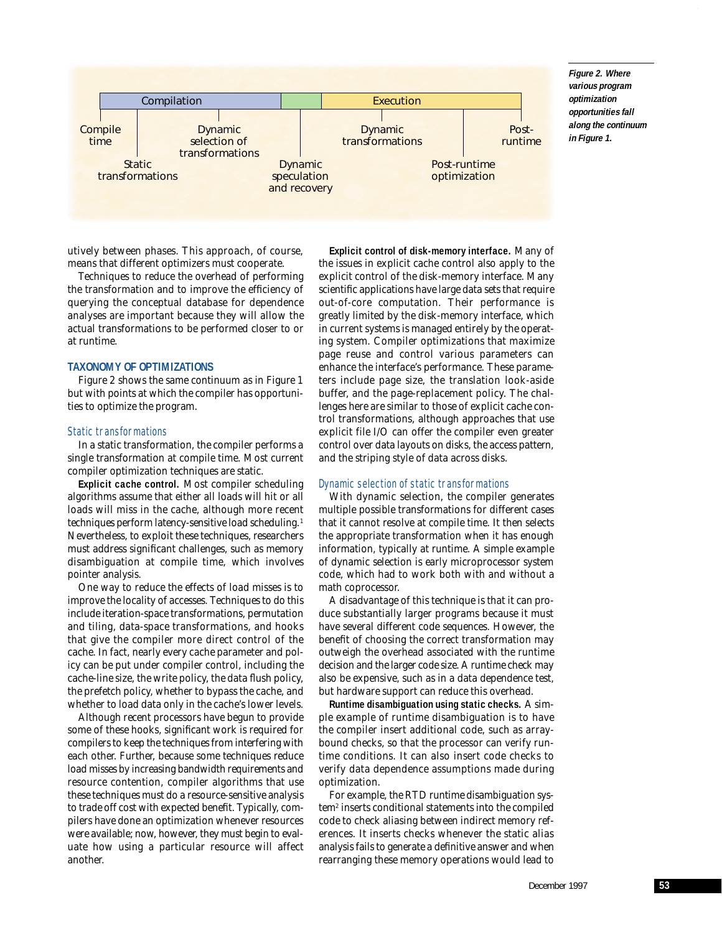

**Figure 2. Where various program optimization opportunities fall along the continuum in Figure 1.**

utively between phases. This approach, of course, means that different optimizers must cooperate.

Techniques to reduce the overhead of performing the transformation and to improve the efficiency of querying the conceptual database for dependence analyses are important because they will allow the actual transformations to be performed closer to or at runtime.

## **TAXONOMY OF OPTIMIZATIONS**

Figure 2 shows the same continuum as in Figure 1 but with points at which the compiler has opportunities to optimize the program.

#### Static transformations

In a static transformation, the compiler performs a single transformation at compile time. Most current compiler optimization techniques are static.

**Explicit cache control.** Most compiler scheduling algorithms assume that either all loads will hit or all loads will miss in the cache, although more recent techniques perform latency-sensitive load scheduling.<sup>1</sup> Nevertheless, to exploit these techniques, researchers must address significant challenges, such as memory disambiguation at compile time, which involves pointer analysis.

One way to reduce the effects of load misses is to improve the locality of accesses. Techniques to do this include *iteration-space transformations*, *permutation and tiling*, *data-space transformations*, and *hooks* that give the compiler more direct control of the cache. In fact, nearly every cache parameter and policy can be put under compiler control, including the cache-line size, the write policy, the data flush policy, the prefetch policy, whether to bypass the cache, and whether to load data only in the cache's lower levels.

Although recent processors have begun to provide some of these hooks, significant work is required for compilers to keep the techniques from interfering with each other. Further, because some techniques reduce load misses by increasing bandwidth requirements and resource contention, compiler algorithms that use these techniques must do a resource-sensitive analysis to trade off cost with expected benefit. Typically, compilers have done an optimization whenever resources were available; now, however, they must begin to evaluate how using a particular resource will affect another.

**Explicit control of disk-memory interface.** Many of the issues in explicit cache control also apply to the explicit control of the disk-memory interface. Many scientific applications have large data sets that require out-of-core computation. Their performance is greatly limited by the disk-memory interface, which in current systems is managed entirely by the operating system. Compiler optimizations that maximize page reuse and control various parameters can enhance the interface's performance. These parameters include page size, the translation look-aside buffer, and the page-replacement policy. The challenges here are similar to those of explicit cache control transformations, although approaches that use explicit file I/O can offer the compiler even greater control over data layouts on disks, the access pattern, and the striping style of data across disks.

## Dynamic selection of static transformations

With dynamic selection, the compiler generates multiple possible transformations for different cases that it cannot resolve at compile time. It then selects the appropriate transformation when it has enough information, typically at runtime. A simple example of dynamic selection is early microprocessor system code, which had to work both with and without a math coprocessor.

A disadvantage of this technique is that it can produce substantially larger programs because it must have several different code sequences. However, the benefit of choosing the correct transformation may outweigh the overhead associated with the runtime decision and the larger code size. A runtime check may also be expensive, such as in a data dependence test, but hardware support can reduce this overhead.

**Runtime disambiguation using static checks.** A simple example of runtime disambiguation is to have the compiler insert additional code, such as arraybound checks, so that the processor can verify runtime conditions. It can also insert code checks to verify data dependence assumptions made during optimization.

For example, the RTD runtime disambiguation system2 inserts conditional statements into the compiled code to check aliasing between indirect memory references. It inserts checks whenever the static alias analysis fails to generate a definitive answer and when rearranging these memory operations would lead to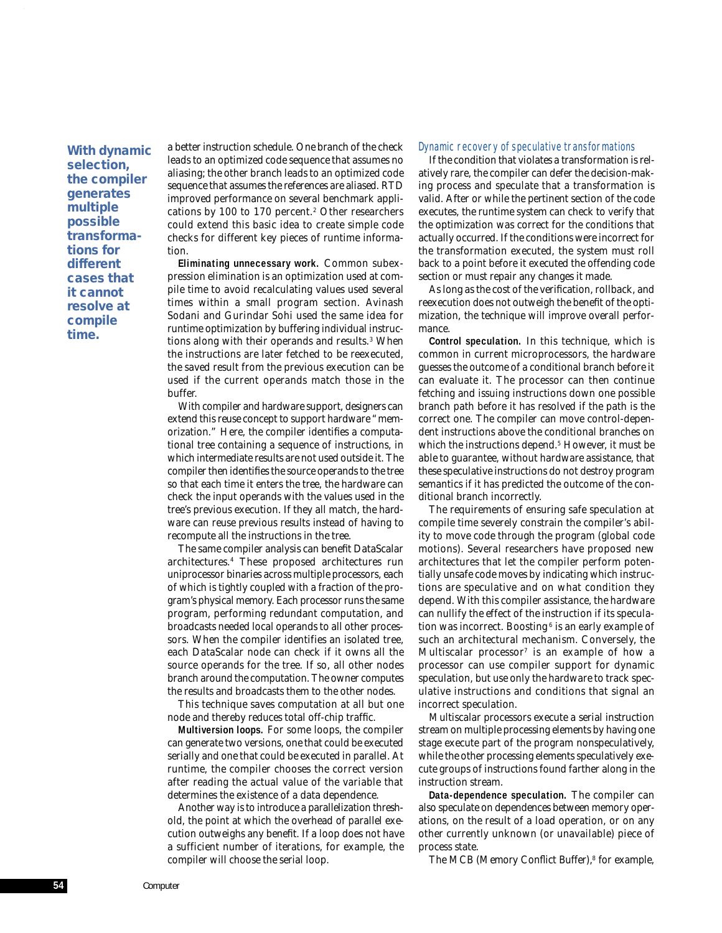**With dynamic selection, the compiler generates multiple possible transformations for different cases that it cannot resolve at compile time.** 

a better instruction schedule. One branch of the check leads to an optimized code sequence that assumes no aliasing; the other branch leads to an optimized code sequence that assumes the references are aliased. RTD improved performance on several benchmark applications by 100 to 170 percent.<sup>2</sup> Other researchers could extend this basic idea to create simple code checks for different key pieces of runtime information.

**Eliminating unnecessary work.** *Common subexpression elimination* is an optimization used at compile time to avoid recalculating values used several times within a small program section. Avinash Sodani and Gurindar Sohi used the same idea for runtime optimization by buffering individual instructions along with their operands and results.3 When the instructions are later fetched to be reexecuted, the saved result from the previous execution can be used if the current operands match those in the buffer.

With compiler and hardware support, designers can extend this reuse concept to support *hardware "memorization*." Here, the compiler identifies a computational tree containing a sequence of instructions, in which intermediate results are not used outside it. The compiler then identifies the source operands to the tree so that each time it enters the tree, the hardware can check the input operands with the values used in the tree's previous execution. If they all match, the hardware can reuse previous results instead of having to recompute all the instructions in the tree.

The same compiler analysis can benefit DataScalar architectures.4 These proposed architectures run uniprocessor binaries across multiple processors, each of which is tightly coupled with a fraction of the program's physical memory. Each processor runs the same program, performing redundant computation, and broadcasts needed local operands to all other processors. When the compiler identifies an isolated tree, each DataScalar node can check if it owns all the source operands for the tree. If so, all other nodes branch around the computation. The owner computes the results and broadcasts them to the other nodes.

This technique saves computation at all but one node and thereby reduces total off-chip traffic.

**Multiversion loops.** For some loops, the compiler can generate two versions, one that could be executed serially and one that could be executed in parallel. At runtime, the compiler chooses the correct version after reading the actual value of the variable that determines the existence of a data dependence.

Another way is to introduce a parallelization *threshold*, the point at which the overhead of parallel execution outweighs any benefit. If a loop does not have a sufficient number of iterations, for example, the compiler will choose the serial loop.

## Dynamic recovery of speculative transformations

If the condition that violates a transformation is relatively rare, the compiler can defer the decision-making process and speculate that a transformation is valid. After or while the pertinent section of the code executes, the runtime system can check to verify that the optimization was correct for the conditions that actually occurred. If the conditions were incorrect for the transformation executed, the system must roll back to a point before it executed the offending code section or must repair any changes it made.

As long as the cost of the verification, rollback, and reexecution does not outweigh the benefit of the optimization, the technique will improve overall performance.

**Control speculation.** In this technique, which is common in current microprocessors, the hardware guesses the outcome of a conditional branch before it can evaluate it. The processor can then continue fetching and issuing instructions down one possible branch path before it has resolved if the path is the correct one. The compiler can move control-dependent instructions above the conditional branches on which the instructions depend.<sup>5</sup> However, it must be able to guarantee, without hardware assistance, that these speculative instructions do not destroy program semantics if it has predicted the outcome of the conditional branch incorrectly.

The requirements of ensuring safe speculation at compile time severely constrain the compiler's ability to move code through the program (global code motions). Several researchers have proposed new architectures that let the compiler perform potentially unsafe code moves by indicating which instructions are speculative and on what condition they depend. With this compiler assistance, the hardware can nullify the effect of the instruction if its speculation was incorrect. *Boosting*<sup>6</sup> is an early example of such an architectural mechanism. Conversely, the Multiscalar processor<sup>7</sup> is an example of how a processor can use compiler support for dynamic speculation, but use only the hardware to track speculative instructions and conditions that signal an incorrect speculation.

Multiscalar processors execute a serial instruction stream on multiple processing elements by having one stage execute part of the program nonspeculatively, while the other processing elements speculatively execute groups of instructions found farther along in the instruction stream.

**Data-dependence speculation.** The compiler can also speculate on dependences between memory operations, on the result of a load operation, or on any other currently unknown (or unavailable) piece of process state.

The MCB (Memory Conflict Buffer),<sup>8</sup> for example,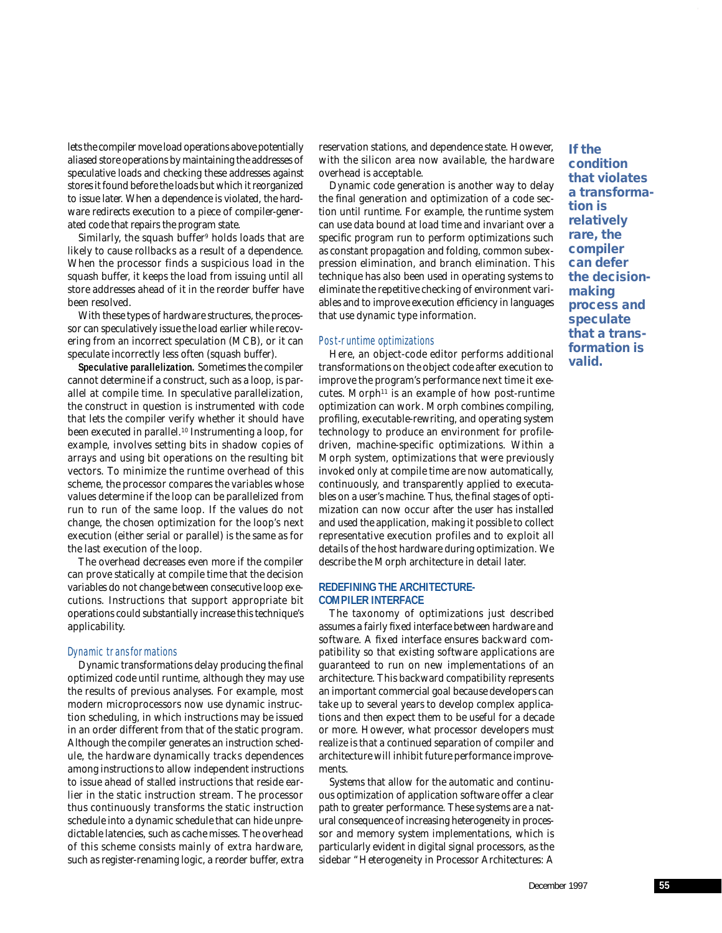lets the compiler move load operations above potentially aliased store operations by maintaining the addresses of speculative loads and checking these addresses against stores it found before the loads but which it reorganized to issue later. When a dependence is violated, the hardware redirects execution to a piece of compiler-generated code that repairs the program state.

Similarly, the *squash buffer*<sup>9</sup> holds loads that are likely to cause rollbacks as a result of a dependence. When the processor finds a suspicious load in the squash buffer, it keeps the load from issuing until all store addresses ahead of it in the reorder buffer have been resolved.

With these types of hardware structures, the processor can speculatively issue the load earlier while recovering from an incorrect speculation (MCB), or it can speculate incorrectly less often (squash buffer).

**Speculative parallelization.** Sometimes the compiler cannot determine if a construct, such as a loop, is parallel at compile time. In speculative parallelization, the construct in question is instrumented with code that lets the compiler verify whether it should have been executed in parallel.10 Instrumenting a loop, for example, involves setting bits in shadow copies of arrays and using bit operations on the resulting bit vectors. To minimize the runtime overhead of this scheme, the processor compares the variables whose values determine if the loop can be parallelized from run to run of the same loop. If the values do not change, the chosen optimization for the loop's next execution (either serial or parallel) is the same as for the last execution of the loop.

The overhead decreases even more if the compiler can prove statically at compile time that the decision variables do not change between consecutive loop executions. Instructions that support appropriate bit operations could substantially increase this technique's applicability.

## Dynamic transformations

Dynamic transformations delay producing the final optimized code until runtime, although they may use the results of previous analyses. For example, most modern microprocessors now use dynamic instruction scheduling, in which instructions may be issued in an order different from that of the static program. Although the compiler generates an instruction schedule, the hardware dynamically tracks dependences among instructions to allow independent instructions to issue ahead of stalled instructions that reside earlier in the static instruction stream. The processor thus continuously transforms the static instruction schedule into a dynamic schedule that can hide unpredictable latencies, such as cache misses. The overhead of this scheme consists mainly of extra hardware, such as register-renaming logic, a reorder buffer, extra

reservation stations, and dependence state. However, with the silicon area now available, the hardware overhead is acceptable.

Dynamic code generation is another way to delay the final generation and optimization of a code section until runtime. For example, the runtime system can use data bound at load time and invariant over a specific program run to perform optimizations such as constant propagation and folding, common subexpression elimination, and branch elimination. This technique has also been used in operating systems to eliminate the repetitive checking of environment variables and to improve execution efficiency in languages that use dynamic type information.

#### Post-runtime optimizations

Here, an object-code editor performs additional transformations on the object code after execution to improve the program's performance next time it executes. Morph<sup>11</sup> is an example of how post-runtime optimization can work. Morph combines compiling, profiling, executable-rewriting, and operating system technology to produce an environment for profiledriven, machine-specific optimizations. Within a Morph system, optimizations that were previously invoked only at compile time are now automatically, continuously, and transparently applied to executables on a user's machine. Thus, the final stages of optimization can now occur after the user has installed and used the application, making it possible to collect representative execution profiles and to exploit all details of the host hardware during optimization. We describe the Morph architecture in detail later.

## **REDEFINING THE ARCHITECTURE-COMPILER INTERFACE**

The taxonomy of optimizations just described assumes a fairly fixed interface between hardware and software. A fixed interface ensures backward compatibility so that existing software applications are guaranteed to run on new implementations of an architecture. This backward compatibility represents an important commercial goal because developers can take up to several years to develop complex applications and then expect them to be useful for a decade or more. However, what processor developers must realize is that a continued separation of compiler and architecture will inhibit future performance improvements.

Systems that allow for the automatic and continuous optimization of application software offer a clear path to greater performance. These systems are a natural consequence of increasing heterogeneity in processor and memory system implementations, which is particularly evident in digital signal processors, as the sidebar "Heterogeneity in Processor Architectures: A **If the condition that violates a transformation is relatively rare, the compiler can defer the decisionmaking process and speculate that a transformation is valid.**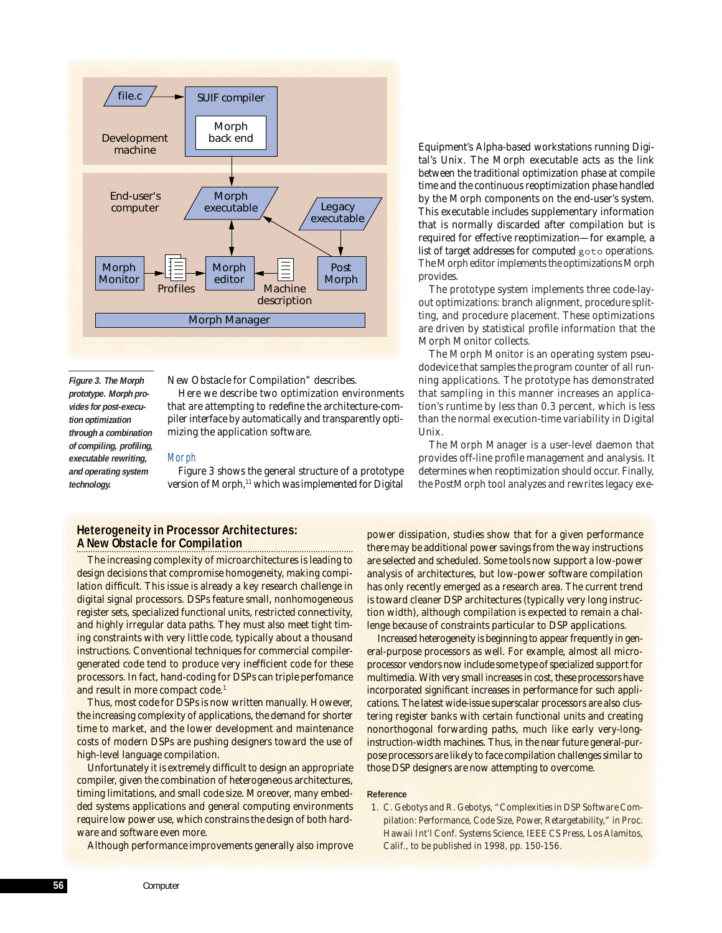

**Figure 3. The Morph prototype. Morph provides for post-execution optimization through a combination of compiling, profiling, executable rewriting, and operating system technology.**

New Obstacle for Compilation" describes.

Here we describe two optimization environments that are attempting to redefine the architecture-compiler interface by automatically and transparently optimizing the application software.

#### Morph

Figure 3 shows the general structure of a prototype version of Morph,<sup>11</sup> which was implemented for Digital

# **Heterogeneity in Processor Architectures: A New Obstacle for Compilation**

The increasing complexity of microarchitectures is leading to design decisions that compromise homogeneity, making compilation difficult. This issue is already a key research challenge in digital signal processors. DSPs feature small, nonhomogeneous register sets, specialized functional units, restricted connectivity, and highly irregular data paths. They must also meet tight timing constraints with very little code, typically about a thousand instructions. Conventional techniques for commercial compilergenerated code tend to produce very inefficient code for these processors. In fact, hand-coding for DSPs can triple perfomance and result in more compact code.<sup>1</sup>

Thus, most code for DSPs is now written manually. However, the increasing complexity of applications, the demand for shorter time to market, and the lower development and maintenance costs of modern DSPs are pushing designers toward the use of high-level language compilation.

Unfortunately it is extremely difficult to design an appropriate compiler, given the combination of heterogeneous architectures, timing limitations, and small code size. Moreover, many embedded systems applications and general computing environments require low power use, which constrains the design of both hardware and software even more.

Although performance improvements generally also improve

Equipment's Alpha-based workstations running Digital's Unix. The Morph executable acts as the link between the traditional optimization phase at compile time and the continuous reoptimization phase handled by the Morph components on the end-user's system. This executable includes supplementary information that is normally discarded after compilation but is required for effective reoptimization—for example, a list of target addresses for computed **goto** operations. The Morph editor implements the optimizations Morph provides.

The prototype system implements three code-layout optimizations: branch alignment, procedure splitting, and procedure placement. These optimizations are driven by statistical profile information that the Morph Monitor collects.

The Morph Monitor is an operating system pseudodevice that samples the program counter of all running applications. The prototype has demonstrated that sampling in this manner increases an application's runtime by less than 0.3 percent, which is less than the normal execution-time variability in Digital Unix.

The Morph Manager is a user-level daemon that provides off-line profile management and analysis. It determines when reoptimization should occur. Finally, the PostMorph tool analyzes and rewrites legacy exe-

power dissipation, studies show that for a given performance there may be additional power savings from the way instructions are selected and scheduled. Some tools now support a low-power analysis of architectures, but low-power software compilation has only recently emerged as a research area. The current trend is toward cleaner DSP architectures (typically very long instruction width), although compilation is expected to remain a challenge because of constraints particular to DSP applications.

Increased heterogeneity is beginning to appear frequently in general-purpose processors as well. For example, almost all microprocessor vendors now include some type of specialized support for multimedia. With very small increases in cost, these processors have incorporated significant increases in performance for such applications. The latest wide-issue superscalar processors are also clustering register banks with certain functional units and creating nonorthogonal forwarding paths, much like early very-longinstruction-width machines. Thus, in the near future general-purpose processors are likely to face compilation challenges similar to those DSP designers are now attempting to overcome.

#### **Reference**

1. C. Gebotys and R. Gebotys, "Complexities in DSP Software Compilation: Performance, Code Size, Power, Retargetability," in *Proc. Hawaii Int'l Conf. Systems Science*, IEEE CS Press, Los Alamitos, Calif., to be published in 1998, pp. 150-156.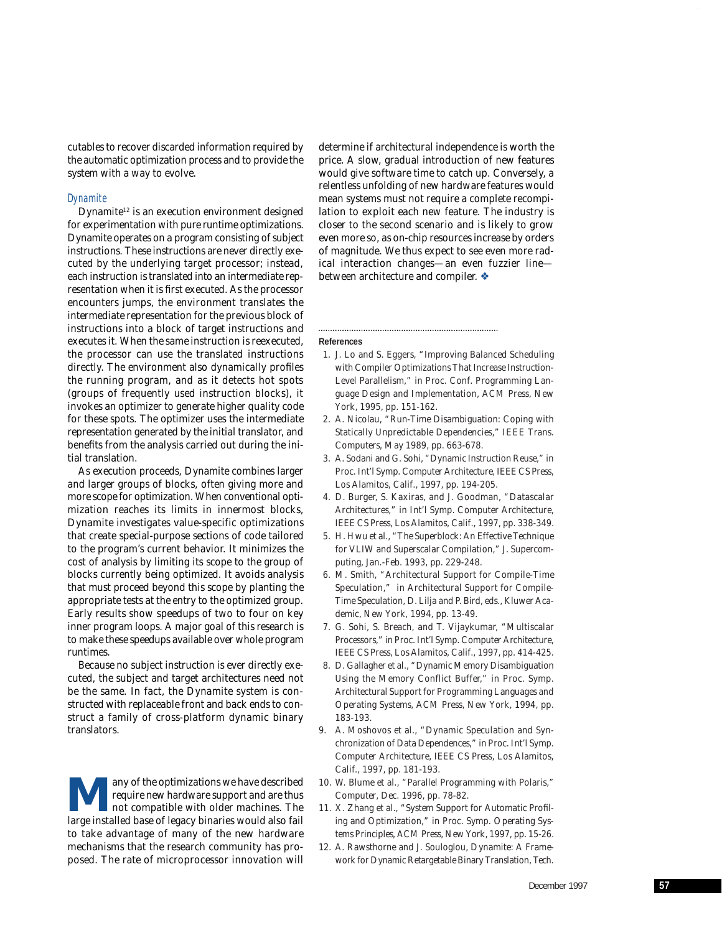cutables to recover discarded information required by the automatic optimization process and to provide the system with a way to evolve.

#### **Dynamite**

Dynamite12 is an execution environment designed for experimentation with pure runtime optimizations. Dynamite operates on a program consisting of *subject instructions.* These instructions are never directly executed by the underlying target processor; instead, each instruction is translated into an intermediate representation when it is first executed. As the processor encounters jumps, the environment translates the intermediate representation for the previous block of instructions into a block of target instructions and executes it. When the same instruction is reexecuted, the processor can use the translated instructions directly. The environment also dynamically profiles the running program, and as it detects hot spots (groups of frequently used instruction blocks), it invokes an optimizer to generate higher quality code for these spots. The optimizer uses the intermediate representation generated by the initial translator, and benefits from the analysis carried out during the initial translation.

As execution proceeds, Dynamite combines larger and larger groups of blocks, often giving more and more scope for optimization. When conventional optimization reaches its limits in innermost blocks, Dynamite investigates value-specific optimizations that create special-purpose sections of code tailored to the program's current behavior. It minimizes the cost of analysis by limiting its scope to the group of blocks currently being optimized. It avoids analysis that must proceed beyond this scope by planting the appropriate tests at the entry to the optimized group. Early results show speedups of two to four on key inner program loops. A major goal of this research is to make these speedups available over whole program runtimes.

Because no subject instruction is ever directly executed, the subject and target architectures need not be the same. In fact, the Dynamite system is constructed with replaceable front and back ends to construct a family of cross-platform dynamic binary translators.

**MA** any of the optimizations we have described<br>require new hardware support and are thus<br>not compatible with older machines. The require new hardware support and are thus not compatible with older machines. The large installed base of legacy binaries would also fail to take advantage of many of the new hardware mechanisms that the research community has proposed. The rate of microprocessor innovation will

determine if architectural independence is worth the price. A slow, gradual introduction of new features would give software time to catch up. Conversely, a relentless unfolding of new hardware features would mean systems must not require a complete recompilation to exploit each new feature. The industry is closer to the second scenario and is likely to grow even more so, as on-chip resources increase by orders of magnitude. We thus expect to see even more radical interaction changes—an even fuzzier line between architecture and compiler. ❖

#### **References**

1. J. Lo and S. Eggers, "Improving Balanced Scheduling with Compiler Optimizations That Increase Instruction-Level Parallelism," in *Proc. Conf. Programming Language Design and Implementation*, ACM Press, New York, 1995, pp. 151-162.

- 2. A. Nicolau, "Run-Time Disambiguation: Coping with Statically Unpredictable Dependencies," *IEEE Trans. Computers*, May 1989, pp. 663-678.
- 3. A. Sodani and G. Sohi, "Dynamic Instruction Reuse," in *Proc. Int'l Symp. Computer Architecture*, IEEE CS Press, Los Alamitos, Calif., 1997, pp. 194-205.
- 4. D. Burger, S. Kaxiras, and J. Goodman, "Datascalar Architectures," in *Int'l Symp. Computer Architecture*, IEEE CS Press, Los Alamitos, Calif., 1997, pp. 338-349.
- 5. H. Hwu et al., "The Superblock: An Effective Technique for VLIW and Superscalar Compilation," *J. Supercomputing*, Jan.-Feb. 1993, pp. 229-248.
- 6. M. Smith, "Architectural Support for Compile-Time Speculation," in *Architectural Support for Compile-Time Speculation*, D. Lilja and P. Bird, eds., Kluwer Academic, New York, 1994, pp. 13-49.
- 7. G. Sohi, S. Breach, and T. Vijaykumar, "Multiscalar Processors," in *Proc. Int'l Symp. Computer Architecture*, IEEE CS Press, Los Alamitos, Calif., 1997, pp. 414-425.
- 8. D. Gallagher et al., "Dynamic Memory Disambiguation Using the Memory Conflict Buffer," in *Proc. Symp. Architectural Support for Programming Languages and Operating Systems*, ACM Press, New York, 1994, pp. 183-193.
- 9. A. Moshovos et al., "Dynamic Speculation and Synchronization of Data Dependences," in *Proc. Int'l Symp. Computer Architecture*, IEEE CS Press, Los Alamitos, Calif., 1997, pp. 181-193.
- 10. W. Blume et al., "Parallel Programming with Polaris," *Computer*, Dec. 1996, pp. 78-82.
- 11. X. Zhang et al., "System Support for Automatic Profiling and Optimization," in *Proc. Symp. Operating Systems Principles*, ACM Press, New York, 1997, pp. 15-26.
- 12. A. Rawsthorne and J. Souloglou, *Dynamite: A Framework for Dynamic Retargetable Binary Translation*, Tech.